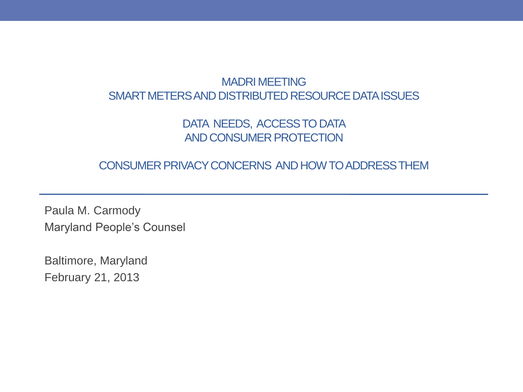#### MADRI MEETING SMART METERS AND DISTRIBUTED RESOURCE DATA ISSUES

#### DATA NEEDS, ACCESS TO DATA AND CONSUMER PROTECTION

#### CONSUMER PRIVACY CONCERNS AND HOW TO ADDRESS THEM

Paula M. Carmody Maryland People's Counsel

Baltimore, Maryland February 21, 2013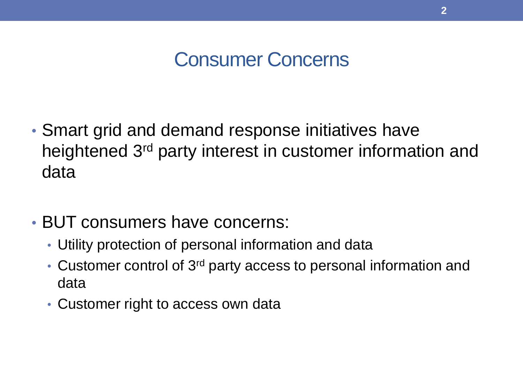## Consumer Concerns

- Smart grid and demand response initiatives have heightened 3rd party interest in customer information and data
- BUT consumers have concerns:
	- Utility protection of personal information and data
	- Customer control of 3<sup>rd</sup> party access to personal information and data
	- Customer right to access own data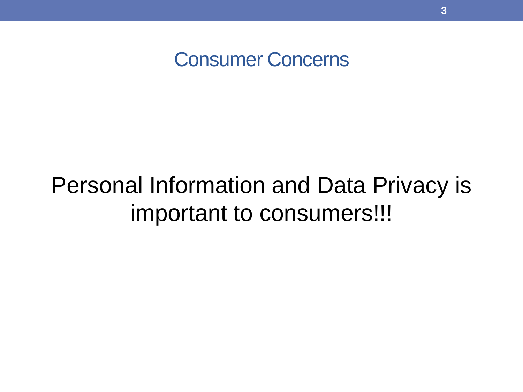Consumer Concerns

## Personal Information and Data Privacy is important to consumers!!!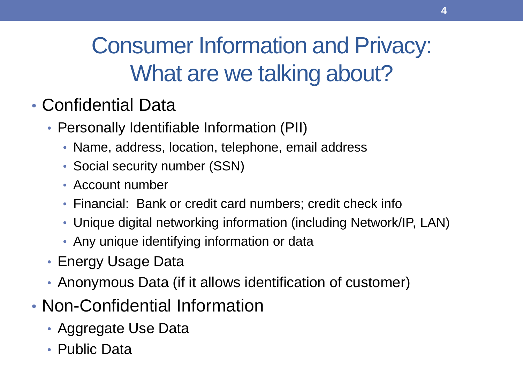## Consumer Information and Privacy: What are we talking about?

### • Confidential Data

- Personally Identifiable Information (PII)
	- Name, address, location, telephone, email address
	- Social security number (SSN)
	- Account number
	- Financial: Bank or credit card numbers; credit check info
	- Unique digital networking information (including Network/IP, LAN)
	- Any unique identifying information or data
- Energy Usage Data
- Anonymous Data (if it allows identification of customer)
- Non-Confidential Information
	- Aggregate Use Data
	- Public Data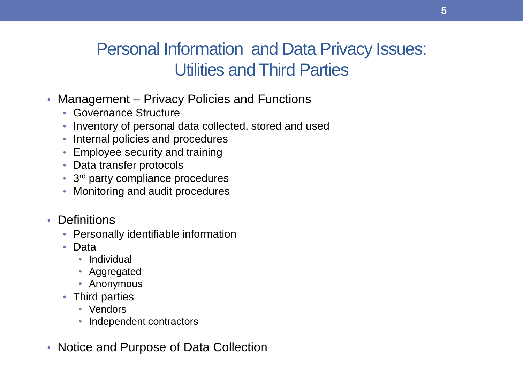#### Personal Information and Data Privacy Issues: Utilities and Third Parties

- Management Privacy Policies and Functions
	- Governance Structure
	- Inventory of personal data collected, stored and used
	- Internal policies and procedures
	- Employee security and training
	- Data transfer protocols
	- 3<sup>rd</sup> party compliance procedures
	- Monitoring and audit procedures
- Definitions
	- Personally identifiable information
	- Data
		- Individual
		- Aggregated
		- Anonymous
	- Third parties
		- Vendors
		- Independent contractors
- Notice and Purpose of Data Collection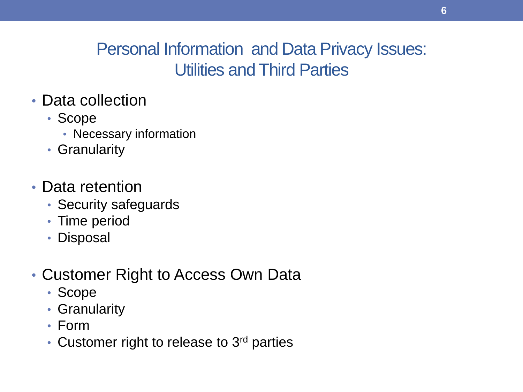#### Personal Information and Data Privacy Issues: Utilities and Third Parties

- Data collection
	- Scope
		- Necessary information
	- Granularity
- Data retention
	- Security safeguards
	- Time period
	- Disposal
- Customer Right to Access Own Data
	- Scope
	- Granularity
	- Form
	- Customer right to release to 3<sup>rd</sup> parties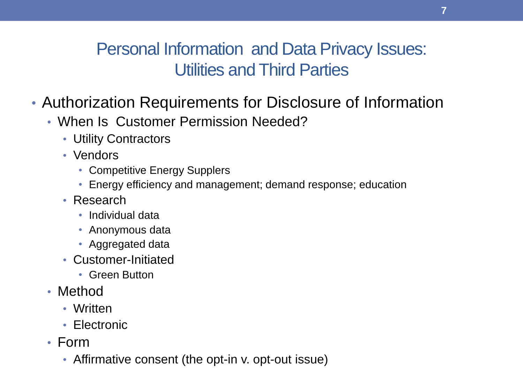#### Personal Information and Data Privacy Issues: Utilities and Third Parties

- Authorization Requirements for Disclosure of Information
	- When Is Customer Permission Needed?
		- Utility Contractors
		- Vendors
			- Competitive Energy Supplers
			- Energy efficiency and management; demand response; education
		- Research
			- Individual data
			- Anonymous data
			- Aggregated data
		- Customer-Initiated
			- Green Button
	- Method
		- Written
		- Electronic
	- Form
		- Affirmative consent (the opt-in v. opt-out issue)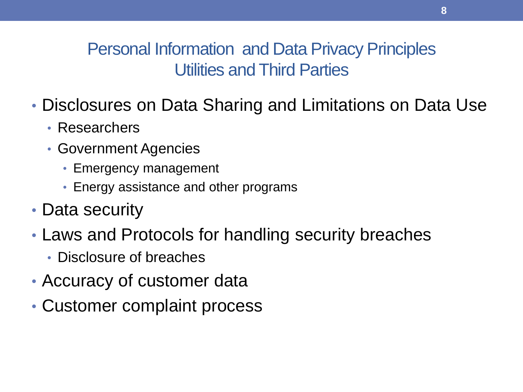#### Personal Information and Data Privacy Principles Utilities and Third Parties

- Disclosures on Data Sharing and Limitations on Data Use
	- Researchers
	- Government Agencies
		- Emergency management
		- Energy assistance and other programs
- Data security
- Laws and Protocols for handling security breaches
	- Disclosure of breaches
- Accuracy of customer data
- Customer complaint process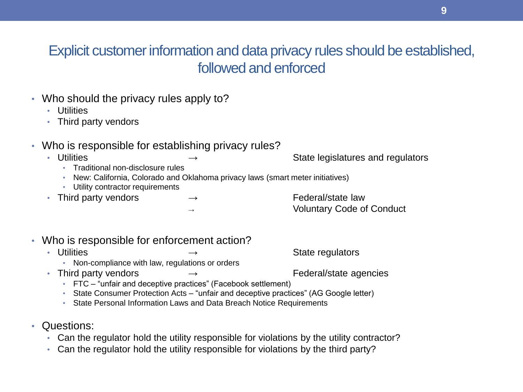#### Explicit customer information and data privacy rules should be established, followed and enforced

- Who should the privacy rules apply to?
	- Utilities
	- Third party vendors
- Who is responsible for establishing privacy rules?
	-

• Utilities → → → State legislatures and regulators

- Traditional non-disclosure rules
- New: California, Colorado and Oklahoma privacy laws (smart meter initiatives)
- Utility contractor requirements
- Third party vendors → → Federal/state law

**Voluntary Code of Conduct** 

- Who is responsible for enforcement action?
	- Utilities → State regulators
		- Non-compliance with law, regulations or orders
	- Third party vendors → → Federal/state agencies
		- FTC "unfair and deceptive practices" (Facebook settlement)
		- State Consumer Protection Acts "unfair and deceptive practices" (AG Google letter)
		- State Personal Information Laws and Data Breach Notice Requirements
- Questions:
	- Can the regulator hold the utility responsible for violations by the utility contractor?
	- Can the regulator hold the utility responsible for violations by the third party?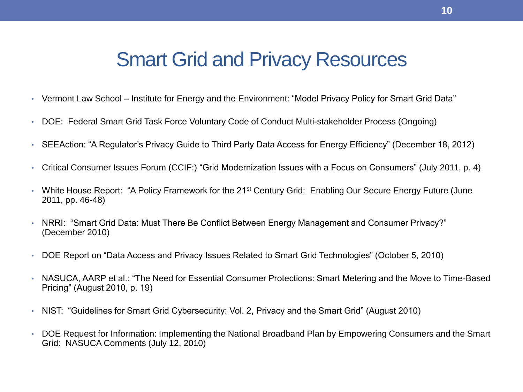### Smart Grid and Privacy Resources

- Vermont Law School Institute for Energy and the Environment: "Model Privacy Policy for Smart Grid Data"
- DOE: Federal Smart Grid Task Force Voluntary Code of Conduct Multi-stakeholder Process (Ongoing)
- SEEAction: "A Regulator's Privacy Guide to Third Party Data Access for Energy Efficiency" (December 18, 2012)
- Critical Consumer Issues Forum (CCIF:) "Grid Modernization Issues with a Focus on Consumers" (July 2011, p. 4)
- White House Report: "A Policy Framework for the 21<sup>st</sup> Century Grid: Enabling Our Secure Energy Future (June 2011, pp. 46-48)
- NRRI: "Smart Grid Data: Must There Be Conflict Between Energy Management and Consumer Privacy?" (December 2010)
- DOE Report on "Data Access and Privacy Issues Related to Smart Grid Technologies" (October 5, 2010)
- NASUCA, AARP et al.: "The Need for Essential Consumer Protections: Smart Metering and the Move to Time-Based Pricing" (August 2010, p. 19)
- NIST: "Guidelines for Smart Grid Cybersecurity: Vol. 2, Privacy and the Smart Grid" (August 2010)
- DOE Request for Information: Implementing the National Broadband Plan by Empowering Consumers and the Smart Grid: NASUCA Comments (July 12, 2010)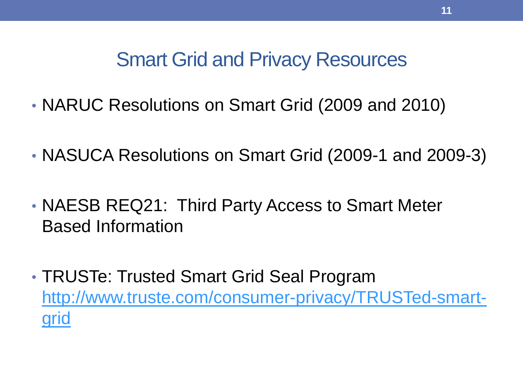## Smart Grid and Privacy Resources

- NARUC Resolutions on Smart Grid (2009 and 2010)
- NASUCA Resolutions on Smart Grid (2009-1 and 2009-3)
- NAESB REQ21: Third Party Access to Smart Meter Based Information
- TRUSTe: Trusted Smart Grid Seal Program [http://www.truste.com/consumer-privacy/TRUSTed-smart](http://www.truste.com/consumer-privacy/TRUSTed-smart-grid)[grid](http://www.truste.com/consumer-privacy/TRUSTed-smart-grid)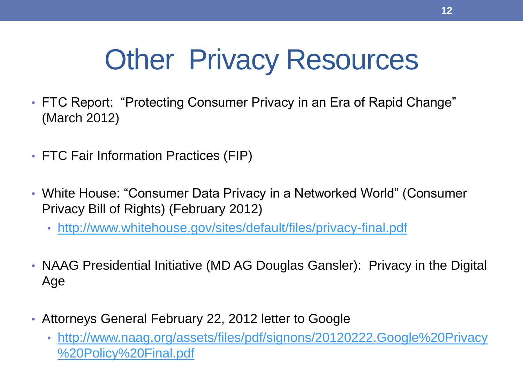# Other Privacy Resources

- FTC Report: "Protecting Consumer Privacy in an Era of Rapid Change" (March 2012)
- FTC Fair Information Practices (FIP)
- White House: "Consumer Data Privacy in a Networked World" (Consumer Privacy Bill of Rights) (February 2012)
	- <http://www.whitehouse.gov/sites/default/files/privacy-final.pdf>
- NAAG Presidential Initiative (MD AG Douglas Gansler): Privacy in the Digital Age
- Attorneys General February 22, 2012 letter to Google
	- [http://www.naag.org/assets/files/pdf/signons/20120222.Google%20Privacy](http://www.naag.org/assets/files/pdf/signons/20120222.Google Privacy Policy Final.pdf) [%20Policy%20Final.pdf](http://www.naag.org/assets/files/pdf/signons/20120222.Google Privacy Policy Final.pdf)